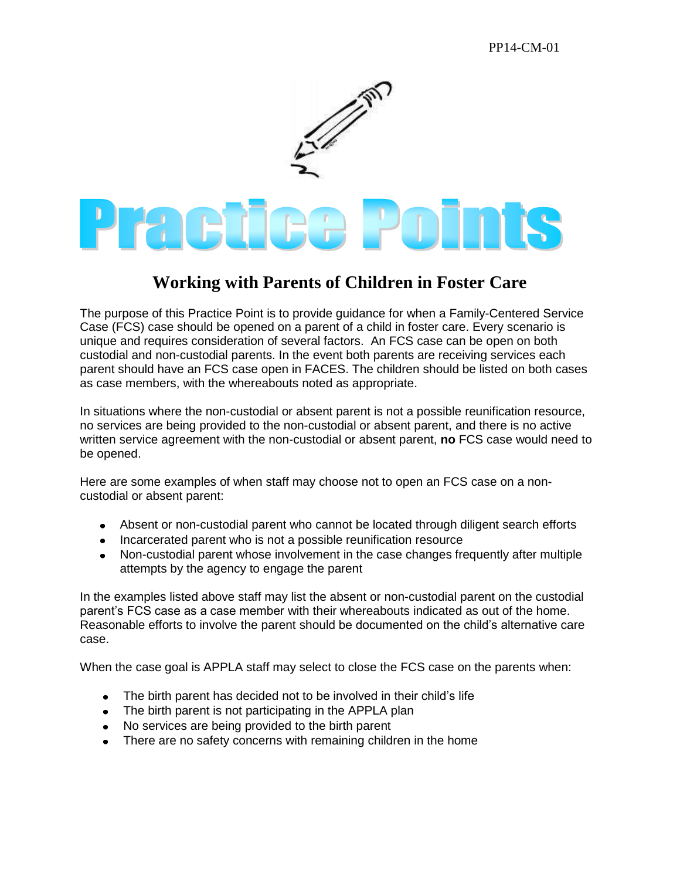

## **Working with Parents of Children in Foster Care**

The purpose of this Practice Point is to provide guidance for when a Family-Centered Service Case (FCS) case should be opened on a parent of a child in foster care. Every scenario is unique and requires consideration of several factors. An FCS case can be open on both custodial and non-custodial parents. In the event both parents are receiving services each parent should have an FCS case open in FACES. The children should be listed on both cases as case members, with the whereabouts noted as appropriate.

In situations where the non-custodial or absent parent is not a possible reunification resource, no services are being provided to the non-custodial or absent parent, and there is no active written service agreement with the non-custodial or absent parent, **no** FCS case would need to be opened.

Here are some examples of when staff may choose not to open an FCS case on a noncustodial or absent parent:

- Absent or non-custodial parent who cannot be located through diligent search efforts
- Incarcerated parent who is not a possible reunification resource
- Non-custodial parent whose involvement in the case changes frequently after multiple attempts by the agency to engage the parent

In the examples listed above staff may list the absent or non-custodial parent on the custodial parent's FCS case as a case member with their whereabouts indicated as out of the home. Reasonable efforts to involve the parent should be documented on the child's alternative care case.

When the case goal is APPLA staff may select to close the FCS case on the parents when:

- The birth parent has decided not to be involved in their child's life
- The birth parent is not participating in the APPLA plan
- No services are being provided to the birth parent
- There are no safety concerns with remaining children in the home